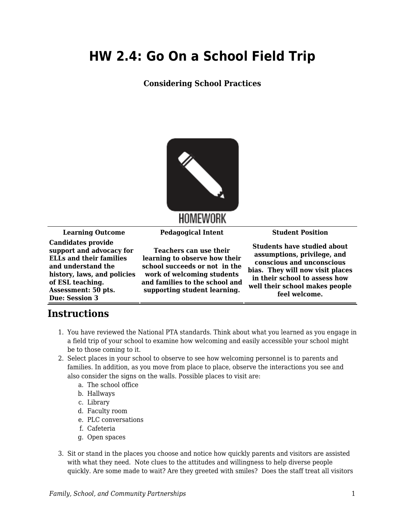## **HW 2.4: Go On a School Field Trip**

## **Considering School Practices**



HOMEWORK

**Learning Outcome Pedagogical Intent Student Position**

**Candidates provide support and advocacy for ELLs and their families and understand the history, laws, and policies of ESL teaching. Assessment: 50 pts. Due: Session 3**

**Teachers can use their learning to observe how their school succeeds or not in the work of welcoming students and families to the school and supporting student learning.**

**Students have studied about assumptions, privilege, and conscious and unconscious bias. They will now visit places in their school to assess how well their school makes people feel welcome.**

## **Instructions**

- 1. You have reviewed the National PTA standards. Think about what you learned as you engage in a field trip of your school to examine how welcoming and easily accessible your school might be to those coming to it.
- 2. Select places in your school to observe to see how welcoming personnel is to parents and families. In addition, as you move from place to place, observe the interactions you see and also consider the signs on the walls. Possible places to visit are:
	- a. The school office
	- b. Hallways
	- c. Library
	- d. Faculty room
	- e. PLC conversations
	- f. Cafeteria
	- g. Open spaces
- 3. Sit or stand in the places you choose and notice how quickly parents and visitors are assisted with what they need. Note clues to the attitudes and willingness to help diverse people quickly. Are some made to wait? Are they greeted with smiles? Does the staff treat all visitors